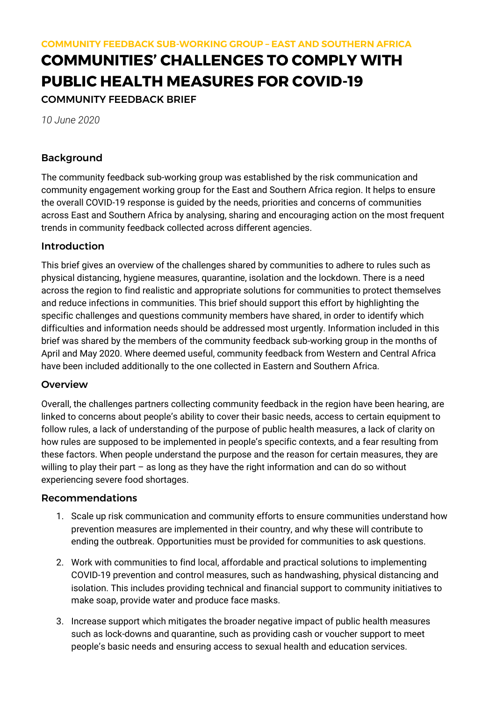# **COMMUNITIES' CHALLENGES TO COMPLY WITH PUBLIC HEALTH MEASURES FOR COVID-19**

COMMUNITY FEEDBACK BRIEF

*10 June 2020*

# Background

The community feedback sub-working group was established by the risk communication and community engagement working group for the East and Southern Africa region. It helps to ensure the overall COVID-19 response is guided by the needs, priorities and concerns of communities across East and Southern Africa by analysing, sharing and encouraging action on the most frequent trends in community feedback collected across different agencies.

# Introduction

This brief gives an overview of the challenges shared by communities to adhere to rules such as physical distancing, hygiene measures, quarantine, isolation and the lockdown. There is a need across the region to find realistic and appropriate solutions for communities to protect themselves and reduce infections in communities. This brief should support this effort by highlighting the specific challenges and questions community members have shared, in order to identify which difficulties and information needs should be addressed most urgently. Information included in this brief was shared by the members of the community feedback sub-working group in the months of April and May 2020. Where deemed useful, community feedback from Western and Central Africa have been included additionally to the one collected in Eastern and Southern Africa.

# **Overview**

Overall, the challenges partners collecting community feedback in the region have been hearing, are linked to concerns about people's ability to cover their basic needs, access to certain equipment to follow rules, a lack of understanding of the purpose of public health measures, a lack of clarity on how rules are supposed to be implemented in people's specific contexts, and a fear resulting from these factors. When people understand the purpose and the reason for certain measures, they are willing to play their part – as long as they have the right information and can do so without experiencing severe food shortages.

# Recommendations

- 1. Scale up risk communication and community efforts to ensure communities understand how prevention measures are implemented in their country, and why these will contribute to ending the outbreak. Opportunities must be provided for communities to ask questions.
- 2. Work with communities to find local, affordable and practical solutions to implementing COVID-19 prevention and control measures, such as handwashing, physical distancing and isolation. This includes providing technical and financial support to community initiatives to make soap, provide water and produce face masks.
- 3. Increase support which mitigates the broader negative impact of public health measures such as lock-downs and quarantine, such as providing cash or voucher support to meet people's basic needs and ensuring access to sexual health and education services.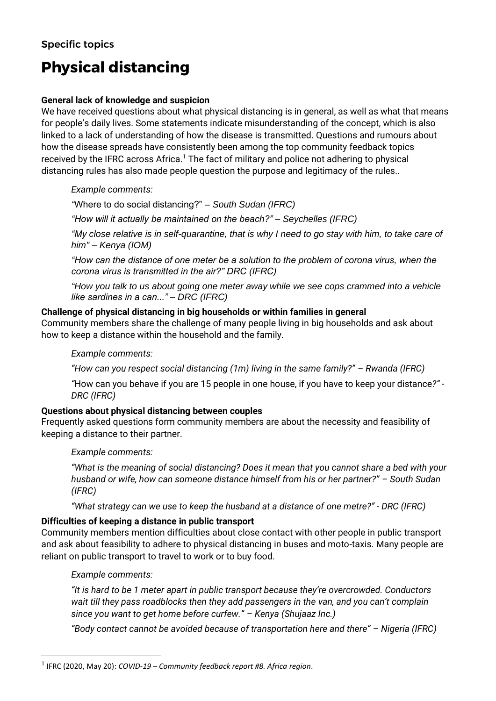# **Physical distancing**

#### **General lack of knowledge and suspicion**

We have received questions about what physical distancing is in general, as well as what that means for people's daily lives. Some statements indicate misunderstanding of the concept, which is also linked to a lack of understanding of how the disease is transmitted. Questions and rumours about how the disease spreads have consistently been among the top community feedback topics received by the IFRC across Africa.<sup>1</sup> The fact of military and police not adhering to physical distancing rules has also made people question the purpose and legitimacy of the rules..

*Example comments:*

*"*Where to do social distancing?" *– South Sudan (IFRC)*

*"How will it actually be maintained on the beach?" – Seychelles (IFRC)*

*"My close relative is in self-quarantine, that is why I need to go stay with him, to take care of him" – Kenya (IOM)*

*"How can the distance of one meter be a solution to the problem of corona virus, when the corona virus is transmitted in the air?" DRC (IFRC)*

*"How you talk to us about going one meter away while we see cops crammed into a vehicle like sardines in a can..." – DRC (IFRC)*

#### **Challenge of physical distancing in big households or within families in general**

Community members share the challenge of many people living in big households and ask about how to keep a distance within the household and the family.

#### *Example comments:*

*"How can you respect social distancing (1m) living in the same family?" – Rwanda (IFRC)*

*"*How can you behave if you are 15 people in one house, if you have to keep your distance*?" - DRC (IFRC)*

# **Questions about physical distancing between couples**

Frequently asked questions form community members are about the necessity and feasibility of keeping a distance to their partner.

*Example comments:*

*"What is the meaning of social distancing? Does it mean that you cannot share a bed with your husband or wife, how can someone distance himself from his or her partner?" – South Sudan (IFRC)*

*"What strategy can we use to keep the husband at a distance of one metre?" - DRC (IFRC)*

# **Difficulties of keeping a distance in public transport**

Community members mention difficulties about close contact with other people in public transport and ask about feasibility to adhere to physical distancing in buses and moto-taxis. Many people are reliant on public transport to travel to work or to buy food.

#### *Example comments:*

*"It is hard to be 1 meter apart in public transport because they're overcrowded. Conductors wait till they pass roadblocks then they add passengers in the van, and you can't complain since you want to get home before curfew." – Kenya (Shujaaz Inc.)*

*"Body contact cannot be avoided because of transportation here and there" – Nigeria (IFRC)*

<sup>1</sup> IFRC (2020, May 20): *COVID-19 – Community feedback report #8. Africa region*.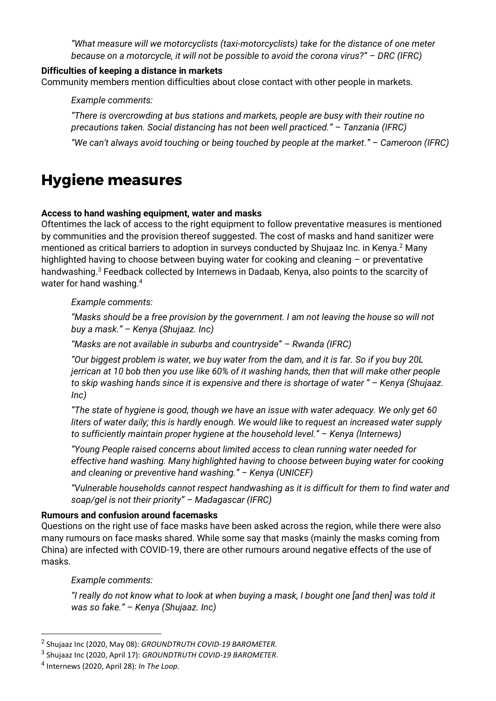*"What measure will we motorcyclists (taxi-motorcyclists) take for the distance of one meter because on a motorcycle, it will not be possible to avoid the corona virus?" – DRC (IFRC)*

#### **Difficulties of keeping a distance in markets**

Community members mention difficulties about close contact with other people in markets.

*Example comments:*

*"There is overcrowding at bus stations and markets, people are busy with their routine no precautions taken. Social distancing has not been well practiced." – Tanzania (IFRC)*

*"We can't always avoid touching or being touched by people at the market." – Cameroon (IFRC)*

# **Hygiene measures**

#### **Access to hand washing equipment, water and masks**

Oftentimes the lack of access to the right equipment to follow preventative measures is mentioned by communities and the provision thereof suggested. The cost of masks and hand sanitizer were mentioned as critical barriers to adoption in surveys conducted by Shujaaz Inc. in Kenya.<sup>2</sup> Many highlighted having to choose between buying water for cooking and cleaning – or preventative handwashing.<sup>3</sup> Feedback collected by Internews in Dadaab, Kenya, also points to the scarcity of water for hand washing.<sup>4</sup>

*Example comments:*

*"Masks should be a free provision by the government. I am not leaving the house so will not buy a mask." – Kenya (Shujaaz. Inc)*

*"Masks are not available in suburbs and countryside" – Rwanda (IFRC)*

*"Our biggest problem is water, we buy water from the dam, and it is far. So if you buy 20L jerrican at 10 bob then you use like 60% of it washing hands, then that will make other people to skip washing hands since it is expensive and there is shortage of water " – Kenya (Shujaaz. Inc)*

*"The state of hygiene is good, though we have an issue with water adequacy. We only get 60 liters of water daily; this is hardly enough. We would like to request an increased water supply to sufficiently maintain proper hygiene at the household level." – Kenya (Internews)*

*"Young People raised concerns about limited access to clean running water needed for effective hand washing. Many highlighted having to choose between buying water for cooking and cleaning or preventive hand washing." – Kenya (UNICEF)*

*"Vulnerable households cannot respect handwashing as it is difficult for them to find water and soap/gel is not their priority" – Madagascar (IFRC)*

#### **Rumours and confusion around facemasks**

Questions on the right use of face masks have been asked across the region, while there were also many rumours on face masks shared. While some say that masks (mainly the masks coming from China) are infected with COVID-19, there are other rumours around negative effects of the use of masks.

*Example comments:*

*"I really do not know what to look at when buying a mask, I bought one [and then] was told it was so fake." – Kenya (Shujaaz. Inc)*

<sup>2</sup> Shujaaz Inc (2020, May 08): *GROUNDTRUTH COVID-19 BAROMETER*.

<sup>3</sup> Shujaaz Inc (2020, April 17): *GROUNDTRUTH COVID-19 BAROMETER*.

<sup>4</sup> Internews (2020, April 28): *In The Loop.*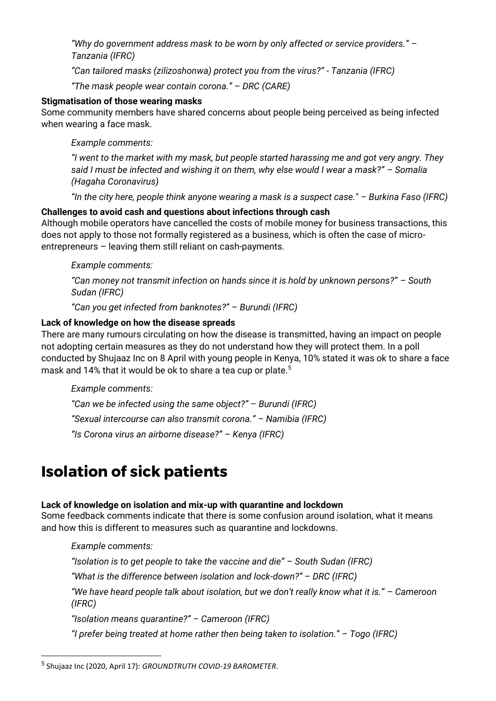*"Why do government address mask to be worn by only affected or service providers." – Tanzania (IFRC)*

*"Can tailored masks (zilizoshonwa) protect you from the virus?" - Tanzania (IFRC)*

*"The mask people wear contain corona." – DRC (CARE)*

#### **Stigmatisation of those wearing masks**

Some community members have shared concerns about people being perceived as being infected when wearing a face mask.

*Example comments:*

*"I went to the market with my mask, but people started harassing me and got very angry. They said I must be infected and wishing it on them, why else would I wear a mask?" – Somalia (Hagaha Coronavirus)*

*"In the city here, people think anyone wearing a mask is a suspect case." – Burkina Faso (IFRC)*

# **Challenges to avoid cash and questions about infections through cash**

Although mobile operators have cancelled the costs of mobile money for business transactions, this does not apply to those not formally registered as a business, which is often the case of microentrepreneurs – leaving them still reliant on cash-payments.

# *Example comments:*

*"Can money not transmit infection on hands since it is hold by unknown persons?" – South Sudan (IFRC)*

*"Can you get infected from banknotes?" – Burundi (IFRC)*

# **Lack of knowledge on how the disease spreads**

There are many rumours circulating on how the disease is transmitted, having an impact on people not adopting certain measures as they do not understand how they will protect them. In a poll conducted by Shujaaz Inc on 8 April with young people in Kenya, 10% stated it was ok to share a face mask and 14% that it would be ok to share a tea cup or plate.<sup>5</sup>

#### *Example comments:*

*"Can we be infected using the same object?" – Burundi (IFRC) "Sexual intercourse can also transmit corona." – Namibia (IFRC) "Is Corona virus an airborne disease?" – Kenya (IFRC)*

# **Isolation of sick patients**

# **Lack of knowledge on isolation and mix-up with quarantine and lockdown**

Some feedback comments indicate that there is some confusion around isolation, what it means and how this is different to measures such as quarantine and lockdowns.

# *Example comments:*

*"Isolation is to get people to take the vaccine and die" – South Sudan (IFRC)*

*"What is the difference between isolation and lock-down?" – DRC (IFRC)*

*"We have heard people talk about isolation, but we don't really know what it is." – Cameroon (IFRC)*

*"Isolation means quarantine?" – Cameroon (IFRC)*

*"I prefer being treated at home rather then being taken to isolation." – Togo (IFRC)*

<sup>5</sup> Shujaaz Inc (2020, April 17): *GROUNDTRUTH COVID-19 BAROMETER*.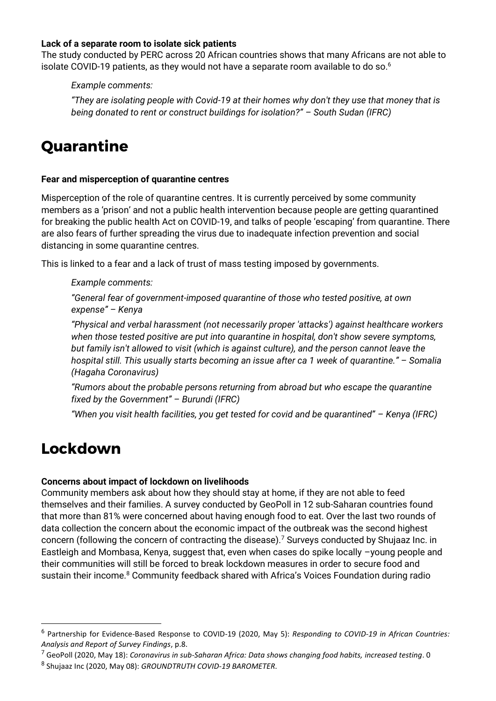#### **Lack of a separate room to isolate sick patients**

The study conducted by PERC across 20 African countries shows that many Africans are not able to isolate COVID-19 patients, as they would not have a separate room available to do so.<sup>6</sup>

*Example comments:*

*"They are isolating people with Covid-19 at their homes why don't they use that money that is being donated to rent or construct buildings for isolation?" – South Sudan (IFRC)*

# **Quarantine**

#### **Fear and misperception of quarantine centres**

Misperception of the role of quarantine centres. It is currently perceived by some community members as a 'prison' and not a public health intervention because people are getting quarantined for breaking the public health Act on COVID-19, and talks of people 'escaping' from quarantine. There are also fears of further spreading the virus due to inadequate infection prevention and social distancing in some quarantine centres.

This is linked to a fear and a lack of trust of mass testing imposed by governments.

*Example comments:*

*"General fear of government-imposed quarantine of those who tested positive, at own expense" – Kenya*

*"Physical and verbal harassment (not necessarily proper 'attacks') against healthcare workers when those tested positive are put into quarantine in hospital, don't show severe symptoms, but family isn't allowed to visit (which is against culture), and the person cannot leave the hospital still. This usually starts becoming an issue after ca 1 week of quarantine." – Somalia (Hagaha Coronavirus)*

*"Rumors about the probable persons returning from abroad but who escape the quarantine fixed by the Government" – Burundi (IFRC)*

*"When you visit health facilities, you get tested for covid and be quarantined" – Kenya (IFRC)*

# **Lockdown**

#### **Concerns about impact of lockdown on livelihoods**

Community members ask about how they should stay at home, if they are not able to feed themselves and their families. A survey conducted by GeoPoll in 12 sub-Saharan countries found that more than 81% were concerned about having enough food to eat. Over the last two rounds of data collection the concern about the economic impact of the outbreak was the second highest concern (following the concern of contracting the disease).<sup>7</sup> Surveys conducted by Shujaaz Inc. in Eastleigh and Mombasa, Kenya, suggest that, even when cases do spike locally –young people and their communities will still be forced to break lockdown measures in order to secure food and sustain their income.<sup>8</sup> Community feedback shared with Africa's Voices Foundation during radio

<sup>6</sup> Partnership for Evidence-Based Response to COVID-19 (2020, May 5): *Responding to COVID-19 in African Countries: Analysis and Report of Survey Findings*, p.8.

<sup>7</sup> GeoPoll (2020, May 18): *Coronavirus in sub-Saharan Africa: Data shows changing food habits, increased testing*. 0

<sup>8</sup> Shujaaz Inc (2020, May 08): *GROUNDTRUTH COVID-19 BAROMETER*.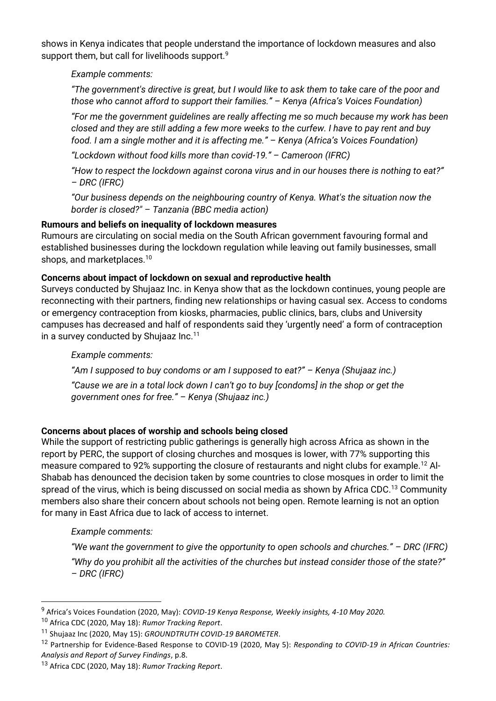shows in Kenya indicates that people understand the importance of lockdown measures and also support them, but call for livelihoods support.<sup>9</sup>

*Example comments:*

*"The government's directive is great, but I would like to ask them to take care of the poor and those who cannot afford to support their families." – Kenya (Africa's Voices Foundation)*

*"For me the government guidelines are really affecting me so much because my work has been closed and they are still adding a few more weeks to the curfew. I have to pay rent and buy food. I am a single mother and it is affecting me." – Kenya (Africa's Voices Foundation)*

*"Lockdown without food kills more than covid-19." – Cameroon (IFRC)*

*"How to respect the lockdown against corona virus and in our houses there is nothing to eat?" – DRC (IFRC)*

*"Our business depends on the neighbouring country of Kenya. What's the situation now the border is closed?" – Tanzania (BBC media action)*

# **Rumours and beliefs on inequality of lockdown measures**

Rumours are circulating on social media on the South African government favouring formal and established businesses during the lockdown regulation while leaving out family businesses, small shops, and marketplaces.<sup>10</sup>

# **Concerns about impact of lockdown on sexual and reproductive health**

Surveys conducted by Shujaaz Inc. in Kenya show that as the lockdown continues, young people are reconnecting with their partners, finding new relationships or having casual sex. Access to condoms or emergency contraception from kiosks, pharmacies, public clinics, bars, clubs and University campuses has decreased and half of respondents said they 'urgently need' a form of contraception in a survey conducted by Shujaaz Inc.<sup>11</sup>

# *Example comments:*

*"Am I supposed to buy condoms or am I supposed to eat?" – Kenya (Shujaaz inc.)*

*"Cause we are in a total lock down I can't go to buy [condoms] in the shop or get the government ones for free." – Kenya (Shujaaz inc.)*

# **Concerns about places of worship and schools being closed**

While the support of restricting public gatherings is generally high across Africa as shown in the report by PERC, the support of closing churches and mosques is lower, with 77% supporting this measure compared to 92% supporting the closure of restaurants and night clubs for example.<sup>12</sup> Al-Shabab has denounced the decision taken by some countries to close mosques in order to limit the spread of the virus, which is being discussed on social media as shown by Africa CDC.<sup>13</sup> Community members also share their concern about schools not being open. Remote learning is not an option for many in East Africa due to lack of access to internet.

# *Example comments:*

*"We want the government to give the opportunity to open schools and churches." – DRC (IFRC) "Why do you prohibit all the activities of the churches but instead consider those of the state?" – DRC (IFRC)*

<sup>9</sup> Africa's Voices Foundation (2020, May): *COVID-19 Kenya Response, Weekly insights, 4-10 May 2020.*

<sup>10</sup> Africa CDC (2020, May 18): *Rumor Tracking Report*.

<sup>11</sup> Shujaaz Inc (2020, May 15): *GROUNDTRUTH COVID-19 BAROMETER*.

<sup>12</sup> Partnership for Evidence-Based Response to COVID-19 (2020, May 5): *Responding to COVID-19 in African Countries: Analysis and Report of Survey Findings*, p.8.

<sup>13</sup> Africa CDC (2020, May 18): *Rumor Tracking Report*.